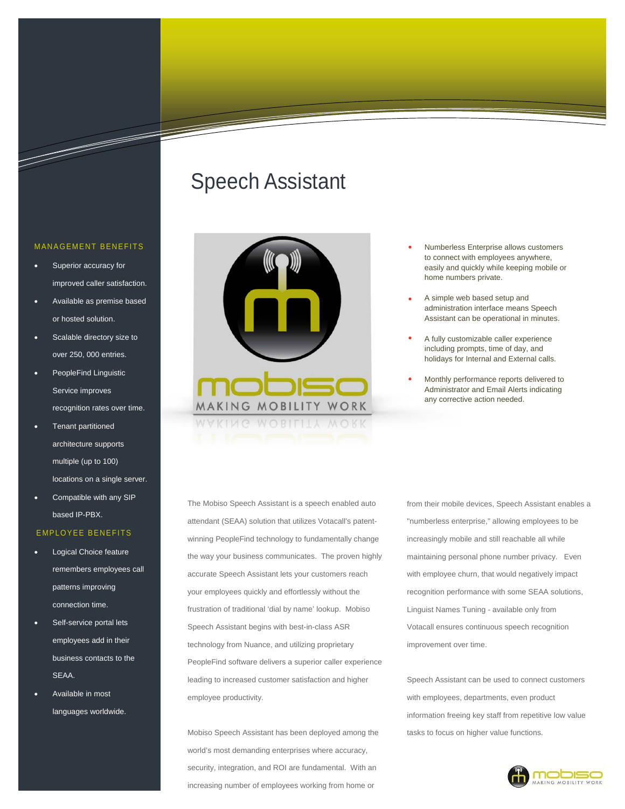# Speech Assistant



- Numberless Enterprise allows customers to connect with employees anywhere, easily and quickly while keeping mobile or home numbers private.
- A simple web based setup and administration interface means Speech Assistant can be operational in minutes.
- A fully customizable caller experience including prompts, time of day, and holidays for Internal and External calls.
- Monthly performance reports delivered to Administrator and Email Alerts indicating any corrective action needed.

The Mobiso Speech Assistant is a speech enabled auto attendant (SEAA) solution that utilizes Votacall's patentwinning PeopleFind technology to fundamentally change the way your business communicates. The proven highly accurate Speech Assistant lets your customers reach your employees quickly and effortlessly without the frustration of traditional 'dial by name' lookup. Mobiso Speech Assistant begins with best-in-class ASR technology from Nuance, and utilizing proprietary PeopleFind software delivers a superior caller experience leading to increased customer satisfaction and higher employee productivity.

Mobiso Speech Assistant has been deployed among the world's most demanding enterprises where accuracy, security, integration, and ROI are fundamental. With an increasing number of employees working from home or

from their mobile devices, Speech Assistant enables a "numberless enterprise," allowing employees to be increasingly mobile and still reachable all while maintaining personal phone number privacy. Even with employee churn, that would negatively impact recognition performance with some SEAA solutions, Linguist Names Tuning - available only from Votacall ensures continuous speech recognition improvement over time.

Speech Assistant can be used to connect customers with employees, departments, even product information freeing key staff from repetitive low value tasks to focus on higher value functions.



### MANAGEMENT BENEFITS

- Superior accuracy for improved caller satisfaction.
- Available as premise based or hosted solution.
- Scalable directory size to over 250, 000 entries.
- PeopleFind Linguistic Service improves recognition rates over time.
- Tenant partitioned architecture supports multiple (up to 100) locations on a single server.
- Compatible with any SIP based IP-PBX.

#### EMPLOYEE BENEFITS

- Logical Choice feature remembers employees call patterns improving connection time.
- Self-service portal lets employees add in their business contacts to the SEAA.
- Available in most languages worldwide.